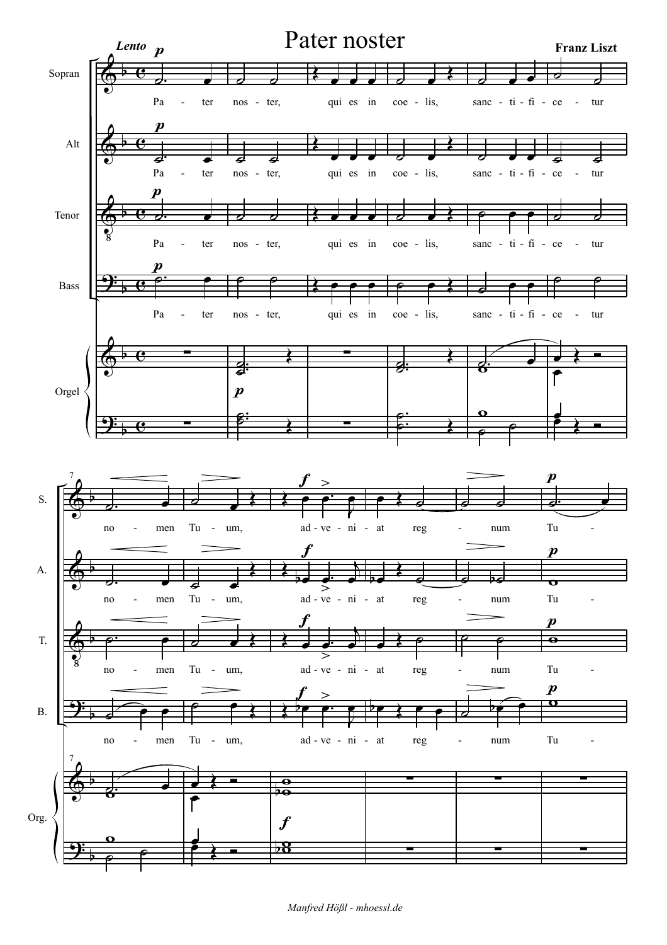

*Manfred Hößl - mhoessl.de*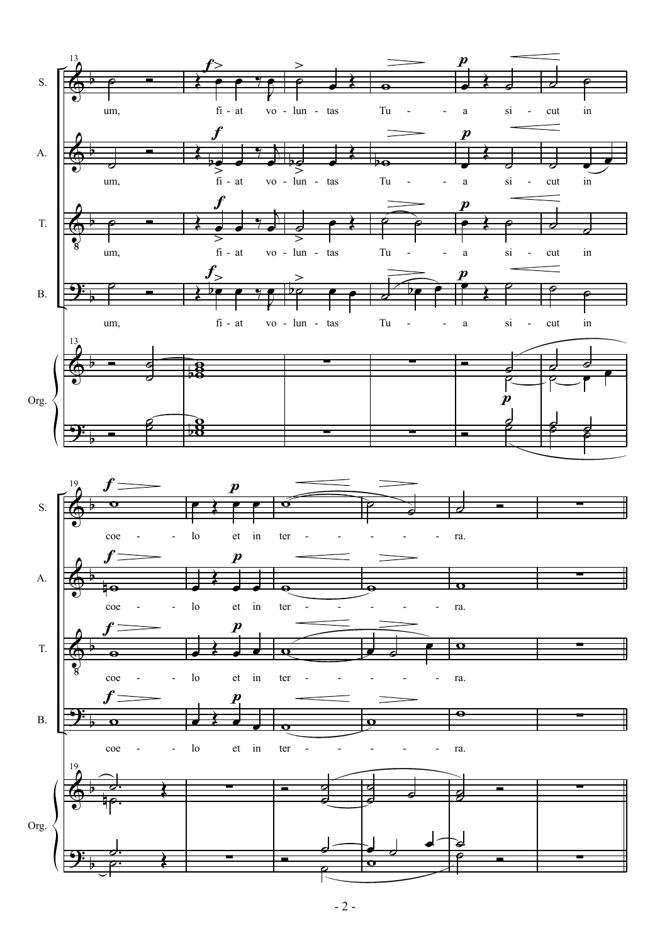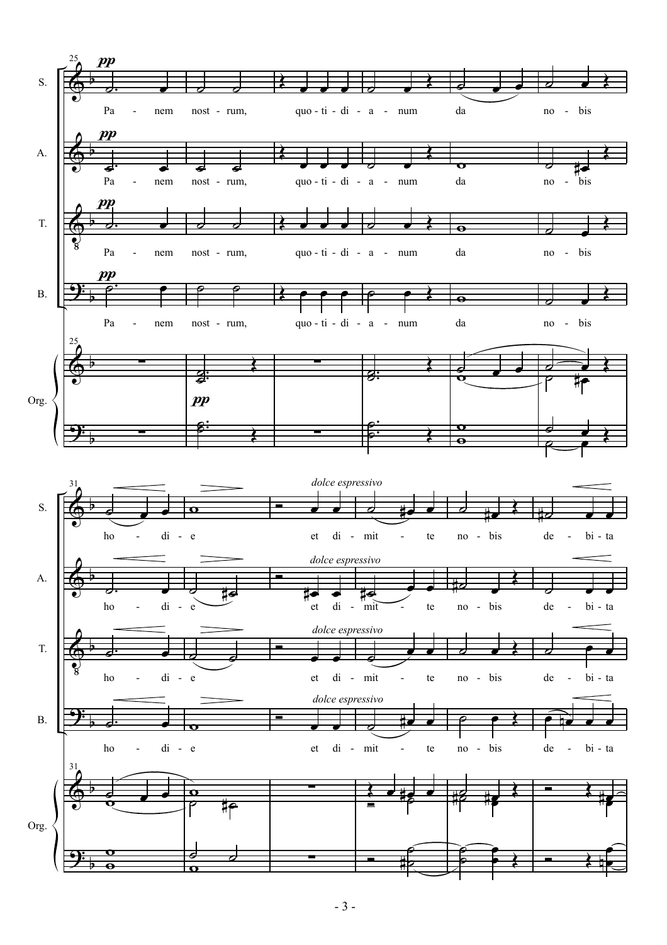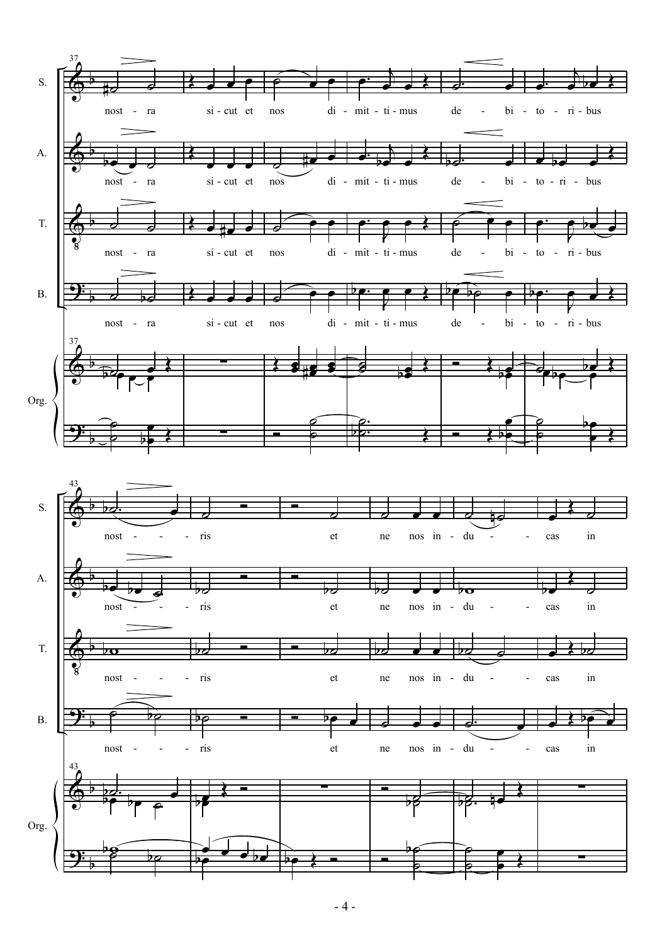![](_page_3_Figure_0.jpeg)